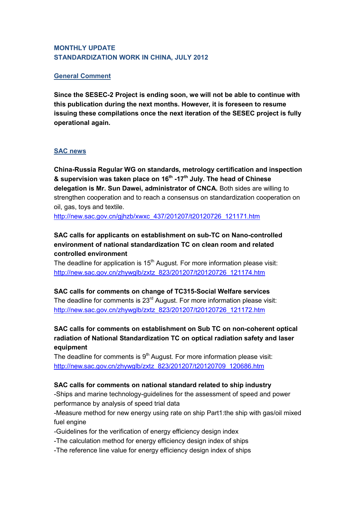## **MONTHLY UPDATE STANDARDIZATION WORK IN CHINA, JULY 2012**

### **General Comment**

**Since the SESEC-2 Project is ending soon, we will not be able to continue with this publication during the next months. However, it is foreseen to resume issuing these compilations once the next iteration of the SESEC project is fully operational again.**

### **SAC news**

**China-Russia Regular WG on standards, metrology certification and inspection & supervision was taken place on 16th -17th July. The head of Chinese delegation is Mr. Sun Dawei, administrator of CNCA.** Both sides are willing to strengthen cooperation and to reach a consensus on standardization cooperation on oil, gas, toys and textile.

[http://new.sac.gov.cn/gjhzb/xwxc\\_437/201207/t20120726\\_121171.htm](http://new.sac.gov.cn/gjhzb/xwxc_437/201207/t20120726_121171.htm)

# **SAC calls for applicants on establishment on sub-TC on Nano-controlled environment of national standardization TC on clean room and related controlled environment**

The deadline for application is  $15<sup>th</sup>$  August. For more information please visit: [http://new.sac.gov.cn/zhywglb/zxtz\\_823/201207/t20120726\\_121174.htm](http://new.sac.gov.cn/zhywglb/zxtz_823/201207/t20120726_121174.htm)

# **SAC calls for comments on change of TC315-Social Welfare services**

The deadline for comments is  $23<sup>rd</sup>$  August. For more information please visit: [http://new.sac.gov.cn/zhywglb/zxtz\\_823/201207/t20120726\\_121172.htm](http://new.sac.gov.cn/zhywglb/zxtz_823/201207/t20120726_121172.htm)

**SAC calls for comments on establishment on Sub TC on non-coherent optical radiation of National Standardization TC on optical radiation safety and laser equipment**

The deadline for comments is  $9<sup>th</sup>$  August. For more information please visit: [http://new.sac.gov.cn/zhywglb/zxtz\\_823/201207/t20120709\\_120686.htm](http://new.sac.gov.cn/zhywglb/zxtz_823/201207/t20120709_120686.htm)

### **SAC calls for comments on national standard related to ship industry**

-Ships and marine technology-guidelines for the assessment of speed and power performance by analysis of speed trial data

-Measure method for new energy using rate on ship Part1:the ship with gas/oil mixed fuel engine

-Guidelines for the verification of energy efficiency design index

-The calculation method for energy efficiency design index of ships

-The reference line value for energy efficiency design index of ships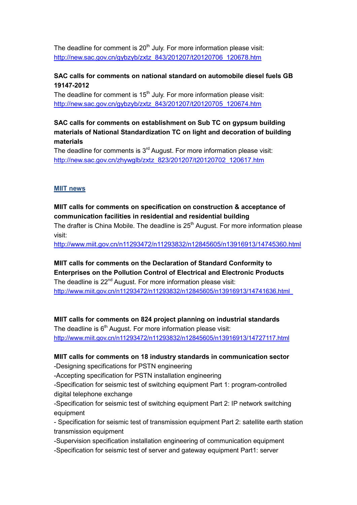The deadline for comment is 20<sup>th</sup> July. For more information please visit: [http://new.sac.gov.cn/gybzyb/zxtz\\_843/201207/t20120706\\_120678.htm](http://new.sac.gov.cn/gybzyb/zxtz_843/201207/t20120706_120678.htm)

# **SAC calls for comments on national standard on automobile diesel fuels GB 19147-2012**

The deadline for comment is  $15<sup>th</sup>$  July. For more information please visit: [http://new.sac.gov.cn/gybzyb/zxtz\\_843/201207/t20120705\\_120674.htm](http://new.sac.gov.cn/gybzyb/zxtz_843/201207/t20120705_120674.htm)

# **SAC calls for comments on establishment on Sub TC on gypsum building materials of National Standardization TC on light and decoration of building materials**

The deadline for comments is  $3<sup>rd</sup>$  August. For more information please visit: [http://new.sac.gov.cn/zhywglb/zxtz\\_823/201207/t20120702\\_120617.htm](http://new.sac.gov.cn/zhywglb/zxtz_823/201207/t20120702_120617.htm)

### **MIIT news**

## **MIIT calls for comments on specification on construction & acceptance of communication facilities in residential and residential building**

The drafter is China Mobile. The deadline is 25<sup>th</sup> August. For more information please visit:

<http://www.miit.gov.cn/n11293472/n11293832/n12845605/n13916913/14745360.html>

# **MIIT calls for comments on the Declaration of Standard Conformity to Enterprises on the Pollution Control of Electrical and Electronic Products** The deadline is 22<sup>nd</sup> August. For more information please visit:

<http://www.miit.gov.cn/n11293472/n11293832/n12845605/n13916913/14741636.html>

#### **MIIT calls for comments on 824 project planning on industrial standards**

The deadline is  $6<sup>th</sup>$  August. For more information please visit: http://www.miit.gov.cn/n11293472/n11293832/n12845605/n13916913/14727117.html

### **MIIT calls for comments on 18 industry standards in communication sector** -Designing specifications for PSTN engineering

-Accepting specification for PSTN installation engineering

-Specification for seismic test of switching equipment Part 1: program-controlled digital telephone exchange

-Specification for seismic test of switching equipment Part 2: IP network switching equipment

- Specification for seismic test of transmission equipment Part 2: satellite earth station transmission equipment

-Supervision specification installation engineering of communication equipment

-Specification for seismic test of server and gateway equipment Part1: server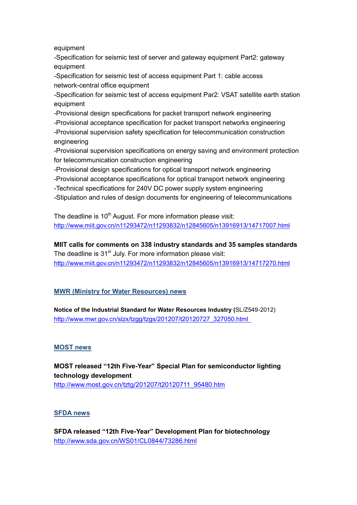equipment

-Specification for seismic test of server and gateway equipment Part2: gateway equipment

-Specification for seismic test of access equipment Part 1: cable access network-central office equipment

-Specification for seismic test of access equipment Par2: VSAT satellite earth station equipment

-Provisional design specifications for packet transport network engineering -Provisional acceptance specification for packet transport networks engineering -Provisional supervision safety specification for telecommunication construction engineering

-Provisional supervision specifications on energy saving and environment protection for telecommunication construction engineering

-Provisional design specifications for optical transport network engineering

-Provisional acceptance specifications for optical transport network engineering

-Technical specifications for 240V DC power supply system engineering

-Stipulation and rules of design documents for engineering of telecommunications

The deadline is 10<sup>th</sup> August. For more information please visit: http://www.miit.gov.cn/n11293472/n11293832/n12845605/n13916913/14717007.html

**MIIT calls for comments on 338 industry standards and 35 samples standards** The deadline is 31<sup>st</sup> July. For more information please visit: http://www.miit.gov.cn/n11293472/n11293832/n12845605/n13916913/14717270.html

### **MWR (Ministry for Water Resources) news**

**Notice of the Industrial Standard for Water Resources Industry (**SL/Z549-2012) [http://www.mwr.gov.cn/slzx/tzgg/tzgs/201207/t20120727\\_327050.html](http://www.mwr.gov.cn/slzx/tzgg/tzgs/201207/t20120727_327050.html) 

### **MOST news**

# **MOST released "12th Five-Year" Special Plan for semiconductor lighting technology development**  [http://www.most.gov.cn/tztg/201207/t20120711\\_95480.htm](http://www.most.gov.cn/tztg/201207/t20120711_95480.htm)

#### **SFDA news**

**SFDA released "12th Five-Year" Development Plan for biotechnology**  <http://www.sda.gov.cn/WS01/CL0844/73286.html>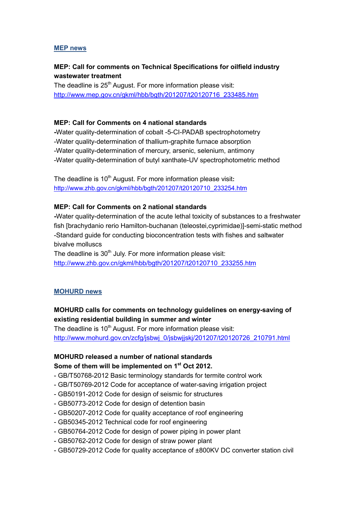#### **MEP news**

### **MEP: Call for comments on Technical Specifications for oilfield industry wastewater treatment**

The deadline is 25<sup>th</sup> August. For more information please visit: [http://www.mep.gov.cn/gkml/hbb/bgth/201207/t20120716\\_233485.htm](http://www.mep.gov.cn/gkml/hbb/bgth/201207/t20120716_233485.htm)

#### **MEP: Call for Comments on 4 national standards**

**-**Water quality-determination of cobalt -5-CI-PADAB spectrophotometry -Water quality-determination of thallium-graphite furnace absorption -Water quality-determination of mercury, arsenic, selenium, antimony -Water quality-determination of butyl xanthate-UV spectrophotometric method

The deadline is 10<sup>th</sup> August. For more information please visit: [http://www.zhb.gov.cn/gkml/hbb/bgth/201207/t20120710\\_233254.htm](http://www.zhb.gov.cn/gkml/hbb/bgth/201207/t20120710_233254.htm)

### **MEP: Call for Comments on 2 national standards**

**-**Water quality-determination of the acute lethal toxicity of substances to a freshwater fish [brachydanio rerio Hamilton-buchanan (teleostei,cyprimidae)]-semi-static method -Standard guide for conducting bioconcentration tests with fishes and saltwater bivalve molluscs

The deadline is  $30<sup>th</sup>$  July. For more information please visit: [http://www.zhb.gov.cn/gkml/hbb/bgth/201207/t20120710\\_233255.htm](http://www.zhb.gov.cn/gkml/hbb/bgth/201207/t20120710_233255.htm)

#### **MOHURD news**

### **MOHURD calls for comments on technology guidelines on energy-saving of existing residential building in summer and winter**

The deadline is 10<sup>th</sup> August. For more information please visit: [http://www.mohurd.gov.cn/zcfg/jsbwj\\_0/jsbwjjskj/201207/t20120726\\_210791.html](http://www.mohurd.gov.cn/zcfg/jsbwj_0/jsbwjjskj/201207/t20120726_210791.html)

### **MOHURD released a number of national standards Some of them will be implemented on 1st Oct 2012.**

- GB/T50768-2012 Basic terminology standards for termite control work
- GB/T50769-2012 Code for acceptance of water-saving irrigation project
- GB50191-2012 Code for design of seismic for structures
- GB50773-2012 Code for design of detention basin
- GB50207-2012 Code for quality acceptance of roof engineering
- GB50345-2012 Technical code for roof engineering
- GB50764-2012 Code for design of power piping in power plant
- GB50762-2012 Code for design of straw power plant
- GB50729-2012 Code for quality acceptance of ±800KV DC converter station civil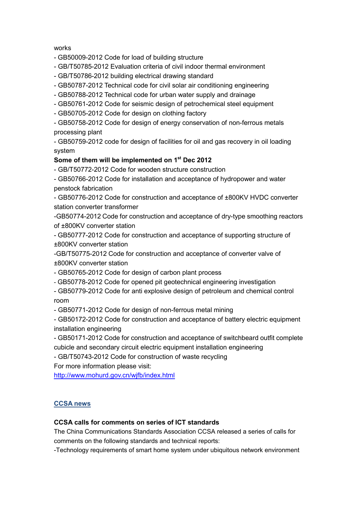#### works

- GB50009-2012 Code for load of building structure
- GB/T50785-2012 Evaluation criteria of civil indoor thermal environment
- GB/T50786-2012 building electrical drawing standard
- GB50787-2012 Technical code for civil solar air conditioning engineering
- GB50788-2012 Technical code for urban water supply and drainage
- GB50761-2012 Code for seismic design of petrochemical steel equipment
- GB50705-2012 Code for design on clothing factory

- GB50758-2012 Code for design of energy conservation of non-ferrous metals processing plant

- GB50759-2012 code for design of facilities for oil and gas recovery in oil loading system

### **Some of them will be implemented on 1st Dec 2012**

- GB/T50772-2012 Code for wooden structure construction

- GB50766-2012 Code for installation and acceptance of hydropower and water penstock fabrication

- GB50776-2012 Code for construction and acceptance of ±800KV HVDC converter station converter transformer

-GB50774-2012 Code for construction and acceptance of dry-type smoothing reactors of ±800KV converter station

- GB50777-2012 Code for construction and acceptance of supporting structure of ±800KV converter station

-GB/T50775-2012 Code for construction and acceptance of converter valve of ±800KV converter station

- GB50765-2012 Code for design of carbon plant process

- GB50778-2012 Code for opened pit geotechnical engineering investigation
- GB50779-2012 Code for anti explosive design of petroleum and chemical control room

- GB50771-2012 Code for design of non-ferrous metal mining

- GB50172-2012 Code for construction and acceptance of battery electric equipment installation engineering

- GB50171-2012 Code for construction and acceptance of switchbeard outfit complete cubicle and secondary circuit electric equipment installation engineering

- GB/T50743-2012 Code for construction of waste recycling

For more information please visit:

<http://www.mohurd.gov.cn/wjfb/index.html>

### **CCSA news**

#### **CCSA calls for comments on series of ICT standards**

The China Communications Standards Association CCSA released a series of calls for comments on the following standards and technical reports:

-Technology requirements of smart home system under ubiquitous network environment